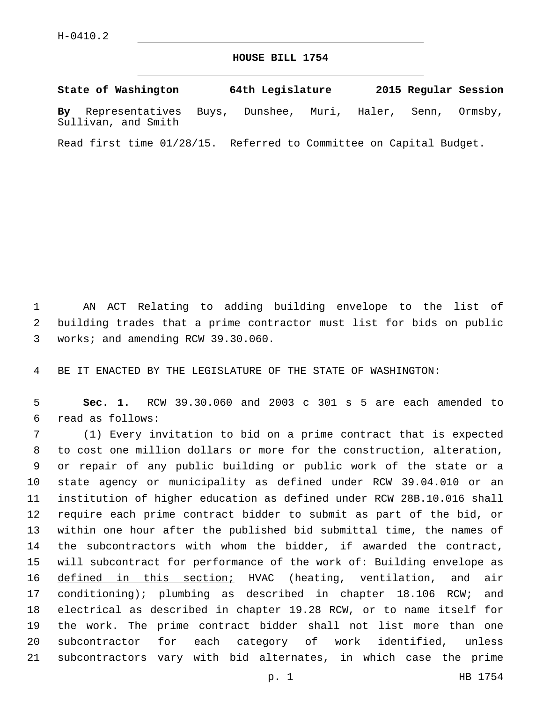## **HOUSE BILL 1754**

**State of Washington 64th Legislature 2015 Regular Session By** Representatives Buys, Dunshee, Muri, Haler, Senn, Ormsby, Sullivan, and Smith

Read first time 01/28/15. Referred to Committee on Capital Budget.

 AN ACT Relating to adding building envelope to the list of building trades that a prime contractor must list for bids on public 3 works; and amending RCW 39.30.060.

BE IT ENACTED BY THE LEGISLATURE OF THE STATE OF WASHINGTON:

 **Sec. 1.** RCW 39.30.060 and 2003 c 301 s 5 are each amended to read as follows:6

 (1) Every invitation to bid on a prime contract that is expected to cost one million dollars or more for the construction, alteration, or repair of any public building or public work of the state or a state agency or municipality as defined under RCW 39.04.010 or an institution of higher education as defined under RCW 28B.10.016 shall require each prime contract bidder to submit as part of the bid, or within one hour after the published bid submittal time, the names of the subcontractors with whom the bidder, if awarded the contract, 15 will subcontract for performance of the work of: Building envelope as defined in this section; HVAC (heating, ventilation, and air conditioning); plumbing as described in chapter 18.106 RCW; and electrical as described in chapter 19.28 RCW, or to name itself for the work. The prime contract bidder shall not list more than one subcontractor for each category of work identified, unless subcontractors vary with bid alternates, in which case the prime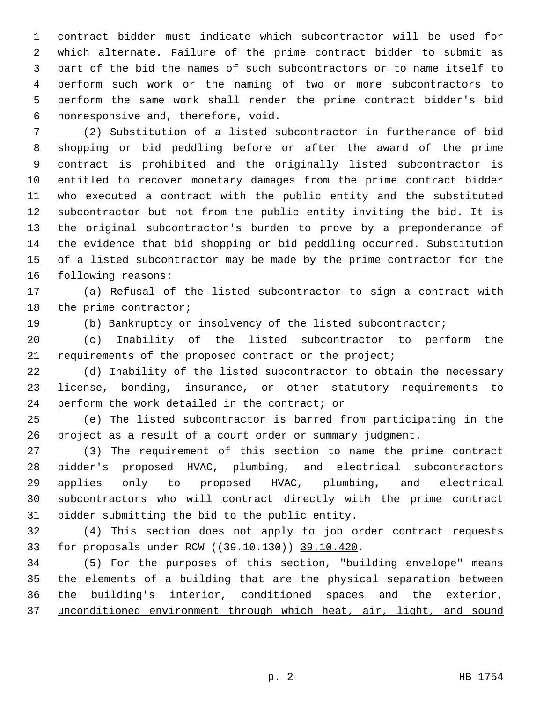contract bidder must indicate which subcontractor will be used for which alternate. Failure of the prime contract bidder to submit as part of the bid the names of such subcontractors or to name itself to perform such work or the naming of two or more subcontractors to perform the same work shall render the prime contract bidder's bid nonresponsive and, therefore, void.6

 (2) Substitution of a listed subcontractor in furtherance of bid shopping or bid peddling before or after the award of the prime contract is prohibited and the originally listed subcontractor is entitled to recover monetary damages from the prime contract bidder who executed a contract with the public entity and the substituted subcontractor but not from the public entity inviting the bid. It is the original subcontractor's burden to prove by a preponderance of the evidence that bid shopping or bid peddling occurred. Substitution of a listed subcontractor may be made by the prime contractor for the 16 following reasons:

 (a) Refusal of the listed subcontractor to sign a contract with 18 the prime contractor;

(b) Bankruptcy or insolvency of the listed subcontractor;

 (c) Inability of the listed subcontractor to perform the 21 requirements of the proposed contract or the project;

 (d) Inability of the listed subcontractor to obtain the necessary license, bonding, insurance, or other statutory requirements to perform the work detailed in the contract; or

 (e) The listed subcontractor is barred from participating in the project as a result of a court order or summary judgment.

 (3) The requirement of this section to name the prime contract bidder's proposed HVAC, plumbing, and electrical subcontractors applies only to proposed HVAC, plumbing, and electrical subcontractors who will contract directly with the prime contract 31 bidder submitting the bid to the public entity.

 (4) This section does not apply to job order contract requests 33 for proposals under RCW ((39.10.130)) 39.10.420.

 (5) For the purposes of this section, "building envelope" means the elements of a building that are the physical separation between 36 the building's interior, conditioned spaces and the exterior, 37 unconditioned environment through which heat, air, light, and sound